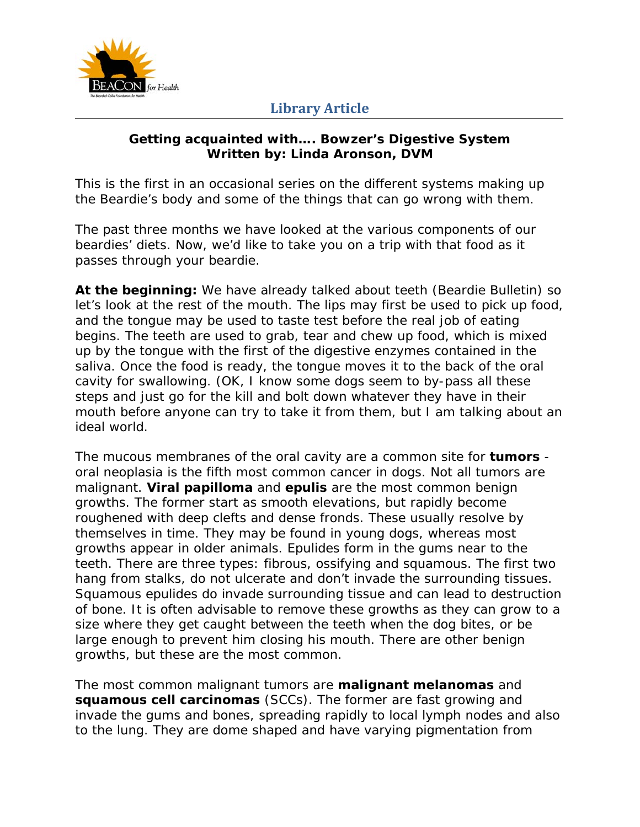

#### **Getting acquainted with…. Bowzer's Digestive System Written by: Linda Aronson, DVM**

*This is the first in an occasional series on the different systems making up the Beardie's body and some of the things that can go wrong with them.* 

The past three months we have looked at the various components of our beardies' diets. Now, we'd like to take you on a trip with that food as it passes through your beardie.

**At the beginning:** We have already talked about teeth (Beardie Bulletin) so let's look at the rest of the mouth. The lips may first be used to pick up food, and the tongue may be used to taste test before the real job of eating begins. The teeth are used to grab, tear and chew up food, which is mixed up by the tongue with the first of the digestive enzymes contained in the saliva. Once the food is ready, the tongue moves it to the back of the oral cavity for swallowing. (OK, I know some dogs seem to by-pass all these steps and just go for the kill and bolt down whatever they have in their mouth before anyone can try to take it from them, but I am talking about an ideal world.

The mucous membranes of the oral cavity are a common site for **tumors** oral neoplasia is the fifth most common cancer in dogs. Not all tumors are malignant. **Viral papilloma** and **epulis** are the most common benign growths. The former start as smooth elevations, but rapidly become roughened with deep clefts and dense fronds. These usually resolve by themselves in time. They may be found in young dogs, whereas most growths appear in older animals. Epulides form in the gums near to the teeth. There are three types: fibrous, ossifying and squamous. The first two hang from stalks, do not ulcerate and don't invade the surrounding tissues. Squamous epulides do invade surrounding tissue and can lead to destruction of bone. It is often advisable to remove these growths as they can grow to a size where they get caught between the teeth when the dog bites, or be large enough to prevent him closing his mouth. There are other benign growths, but these are the most common.

The most common malignant tumors are **malignant melanomas** and **squamous cell carcinomas** (SCCs). The former are fast growing and invade the gums and bones, spreading rapidly to local lymph nodes and also to the lung. They are dome shaped and have varying pigmentation from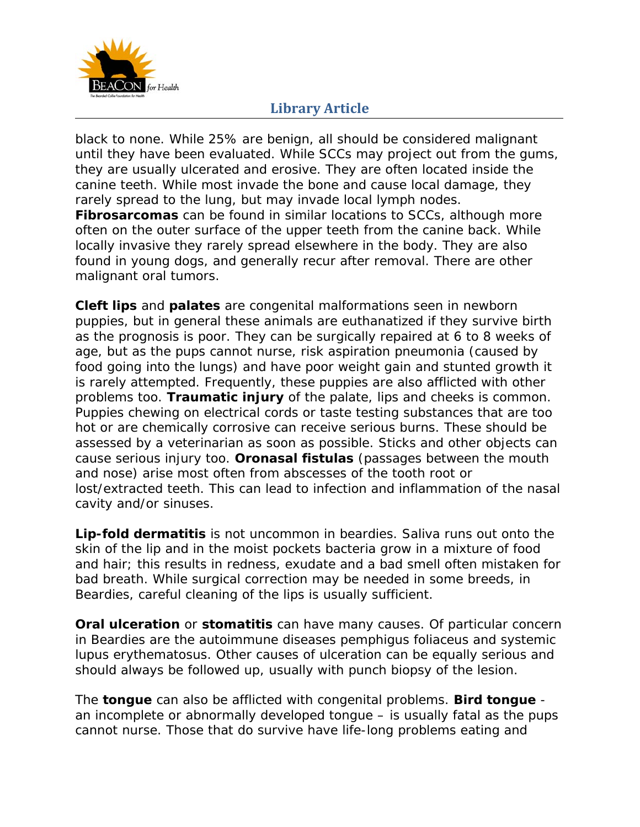

black to none. While 25% are benign, all should be considered malignant until they have been evaluated. While SCCs may project out from the gums, they are usually ulcerated and erosive. They are often located inside the canine teeth. While most invade the bone and cause local damage, they rarely spread to the lung, but may invade local lymph nodes. **Fibrosarcomas** can be found in similar locations to SCCs, although more often on the outer surface of the upper teeth from the canine back. While locally invasive they rarely spread elsewhere in the body. They are also found in young dogs, and generally recur after removal. There are other malignant oral tumors.

**Cleft lips** and **palates** are congenital malformations seen in newborn puppies, but in general these animals are euthanatized if they survive birth as the prognosis is poor. They can be surgically repaired at 6 to 8 weeks of age, but as the pups cannot nurse, risk aspiration pneumonia (caused by food going into the lungs) and have poor weight gain and stunted growth it is rarely attempted. Frequently, these puppies are also afflicted with other problems too. **Traumatic injury** of the palate, lips and cheeks is common. Puppies chewing on electrical cords or taste testing substances that are too hot or are chemically corrosive can receive serious burns. These should be assessed by a veterinarian as soon as possible. Sticks and other objects can cause serious injury too. **Oronasal fistulas** (passages between the mouth and nose) arise most often from abscesses of the tooth root or lost/extracted teeth. This can lead to infection and inflammation of the nasal cavity and/or sinuses.

**Lip-fold dermatitis** is not uncommon in beardies. Saliva runs out onto the skin of the lip and in the moist pockets bacteria grow in a mixture of food and hair; this results in redness, exudate and a bad smell often mistaken for bad breath. While surgical correction may be needed in some breeds, in Beardies, careful cleaning of the lips is usually sufficient.

**Oral ulceration** or **stomatitis** can have many causes. Of particular concern in Beardies are the autoimmune diseases pemphigus foliaceus and systemic lupus erythematosus. Other causes of ulceration can be equally serious and should always be followed up, usually with punch biopsy of the lesion.

The **tongue** can also be afflicted with congenital problems. **Bird tongue** an incomplete or abnormally developed tongue – is usually fatal as the pups cannot nurse. Those that do survive have life-long problems eating and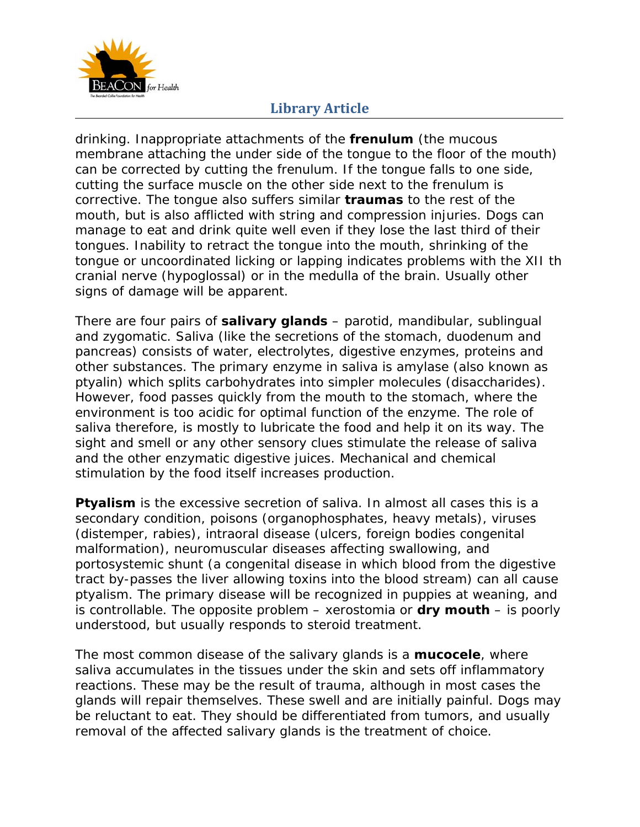

drinking. Inappropriate attachments of the **frenulum** (the mucous membrane attaching the under side of the tongue to the floor of the mouth) can be corrected by cutting the frenulum. If the tongue falls to one side, cutting the surface muscle on the other side next to the frenulum is corrective. The tongue also suffers similar **traumas** to the rest of the mouth, but is also afflicted with string and compression injuries. Dogs can manage to eat and drink quite well even if they lose the last third of their tongues. Inability to retract the tongue into the mouth, shrinking of the tongue or uncoordinated licking or lapping indicates problems with the XII th cranial nerve (hypoglossal) or in the medulla of the brain. Usually other signs of damage will be apparent.

There are four pairs of **salivary glands** – parotid, mandibular, sublingual and zygomatic. Saliva (like the secretions of the stomach, duodenum and pancreas) consists of water, electrolytes, digestive enzymes, proteins and other substances. The primary enzyme in saliva is amylase (also known as ptyalin) which splits carbohydrates into simpler molecules (disaccharides). However, food passes quickly from the mouth to the stomach, where the environment is too acidic for optimal function of the enzyme. The role of saliva therefore, is mostly to lubricate the food and help it on its way. The sight and smell or any other sensory clues stimulate the release of saliva and the other enzymatic digestive juices. Mechanical and chemical stimulation by the food itself increases production.

**Ptyalism** is the excessive secretion of saliva. In almost all cases this is a secondary condition, poisons (organophosphates, heavy metals), viruses (distemper, rabies), intraoral disease (ulcers, foreign bodies congenital malformation), neuromuscular diseases affecting swallowing, and portosystemic shunt (a congenital disease in which blood from the digestive tract by-passes the liver allowing toxins into the blood stream) can all cause ptyalism. The primary disease will be recognized in puppies at weaning, and is controllable. The opposite problem – xerostomia or **dry mouth** – is poorly understood, but usually responds to steroid treatment.

The most common disease of the salivary glands is a **mucocele**, where saliva accumulates in the tissues under the skin and sets off inflammatory reactions. These may be the result of trauma, although in most cases the glands will repair themselves. These swell and are initially painful. Dogs may be reluctant to eat. They should be differentiated from tumors, and usually removal of the affected salivary glands is the treatment of choice.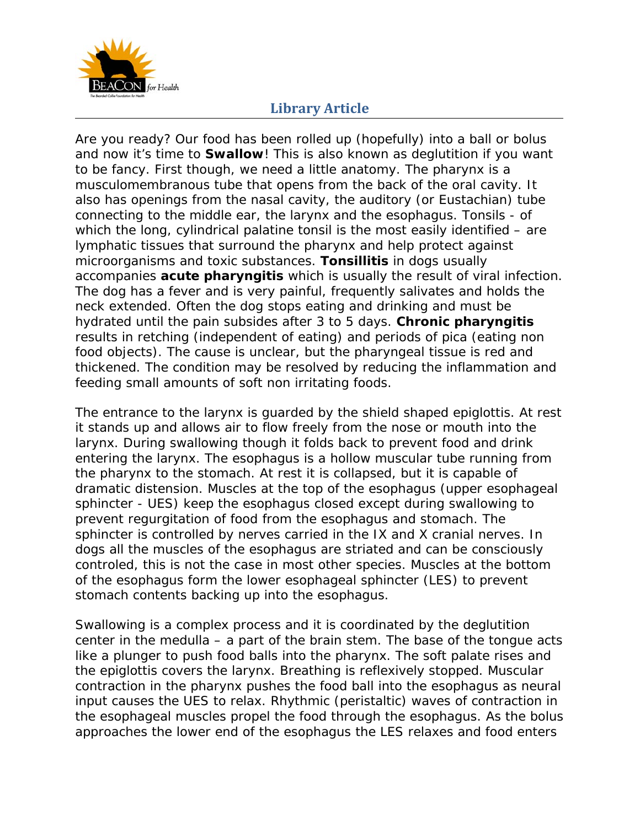

Are you ready? Our food has been rolled up (hopefully) into a ball or bolus and now it's time to **Swallow**! This is also known as deglutition if you want to be fancy. First though, we need a little anatomy. The pharynx is a musculomembranous tube that opens from the back of the oral cavity. It also has openings from the nasal cavity, the auditory (or Eustachian) tube connecting to the middle ear, the larynx and the esophagus. Tonsils - of which the long, cylindrical palatine tonsil is the most easily identified – are lymphatic tissues that surround the pharynx and help protect against microorganisms and toxic substances. **Tonsillitis** in dogs usually accompanies **acute pharyngitis** which is usually the result of viral infection. The dog has a fever and is very painful, frequently salivates and holds the neck extended. Often the dog stops eating and drinking and must be hydrated until the pain subsides after 3 to 5 days. **Chronic pharyngitis** results in retching (independent of eating) and periods of pica (eating non food objects). The cause is unclear, but the pharyngeal tissue is red and thickened. The condition may be resolved by reducing the inflammation and feeding small amounts of soft non irritating foods.

The entrance to the larynx is guarded by the shield shaped epiglottis. At rest it stands up and allows air to flow freely from the nose or mouth into the larynx. During swallowing though it folds back to prevent food and drink entering the larynx. The esophagus is a hollow muscular tube running from the pharynx to the stomach. At rest it is collapsed, but it is capable of dramatic distension. Muscles at the top of the esophagus (upper esophageal sphincter - UES) keep the esophagus closed except during swallowing to prevent regurgitation of food from the esophagus and stomach. The sphincter is controlled by nerves carried in the IX and X cranial nerves. In dogs all the muscles of the esophagus are striated and can be consciously controled, this is not the case in most other species. Muscles at the bottom of the esophagus form the lower esophageal sphincter (LES) to prevent stomach contents backing up into the esophagus.

Swallowing is a complex process and it is coordinated by the deglutition center in the medulla – a part of the brain stem. The base of the tongue acts like a plunger to push food balls into the pharynx. The soft palate rises and the epiglottis covers the larynx. Breathing is reflexively stopped. Muscular contraction in the pharynx pushes the food ball into the esophagus as neural input causes the UES to relax. Rhythmic (peristaltic) waves of contraction in the esophageal muscles propel the food through the esophagus. As the bolus approaches the lower end of the esophagus the LES relaxes and food enters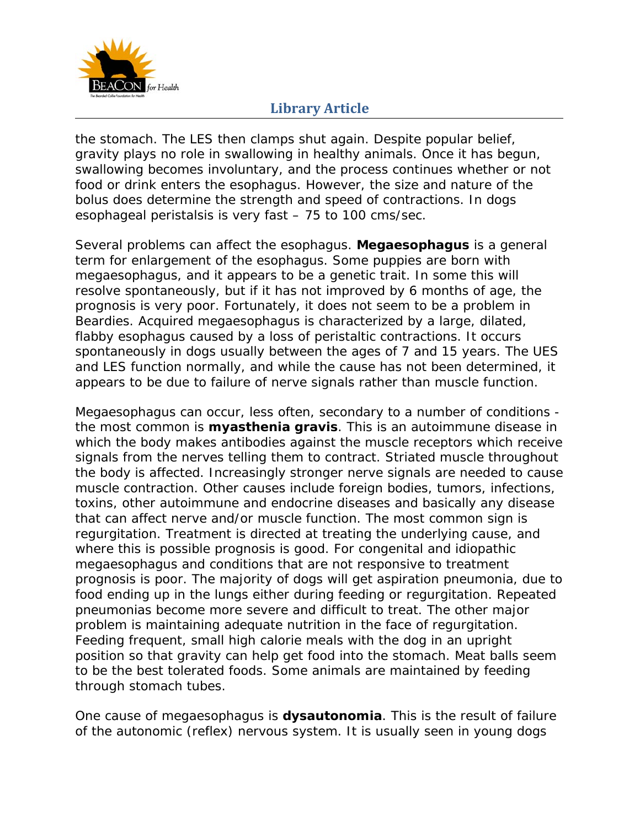

the stomach. The LES then clamps shut again. Despite popular belief, gravity plays no role in swallowing in healthy animals. Once it has begun, swallowing becomes involuntary, and the process continues whether or not food or drink enters the esophagus. However, the size and nature of the bolus does determine the strength and speed of contractions. In dogs esophageal peristalsis is very fast – 75 to 100 cms/sec.

Several problems can affect the esophagus. **Megaesophagus** is a general term for enlargement of the esophagus. Some puppies are born with megaesophagus, and it appears to be a genetic trait. In some this will resolve spontaneously, but if it has not improved by 6 months of age, the prognosis is very poor. Fortunately, it does not seem to be a problem in Beardies. Acquired megaesophagus is characterized by a large, dilated, flabby esophagus caused by a loss of peristaltic contractions. It occurs spontaneously in dogs usually between the ages of 7 and 15 years. The UES and LES function normally, and while the cause has not been determined, it appears to be due to failure of nerve signals rather than muscle function.

Megaesophagus can occur, less often, secondary to a number of conditions the most common is **myasthenia gravis**. This is an autoimmune disease in which the body makes antibodies against the muscle receptors which receive signals from the nerves telling them to contract. Striated muscle throughout the body is affected. Increasingly stronger nerve signals are needed to cause muscle contraction. Other causes include foreign bodies, tumors, infections, toxins, other autoimmune and endocrine diseases and basically any disease that can affect nerve and/or muscle function. The most common sign is regurgitation. Treatment is directed at treating the underlying cause, and where this is possible prognosis is good. For congenital and idiopathic megaesophagus and conditions that are not responsive to treatment prognosis is poor. The majority of dogs will get aspiration pneumonia, due to food ending up in the lungs either during feeding or regurgitation. Repeated pneumonias become more severe and difficult to treat. The other major problem is maintaining adequate nutrition in the face of regurgitation. Feeding frequent, small high calorie meals with the dog in an upright position so that gravity can help get food into the stomach. Meat balls seem to be the best tolerated foods. Some animals are maintained by feeding through stomach tubes.

One cause of megaesophagus is **dysautonomia**. This is the result of failure of the autonomic (reflex) nervous system. It is usually seen in young dogs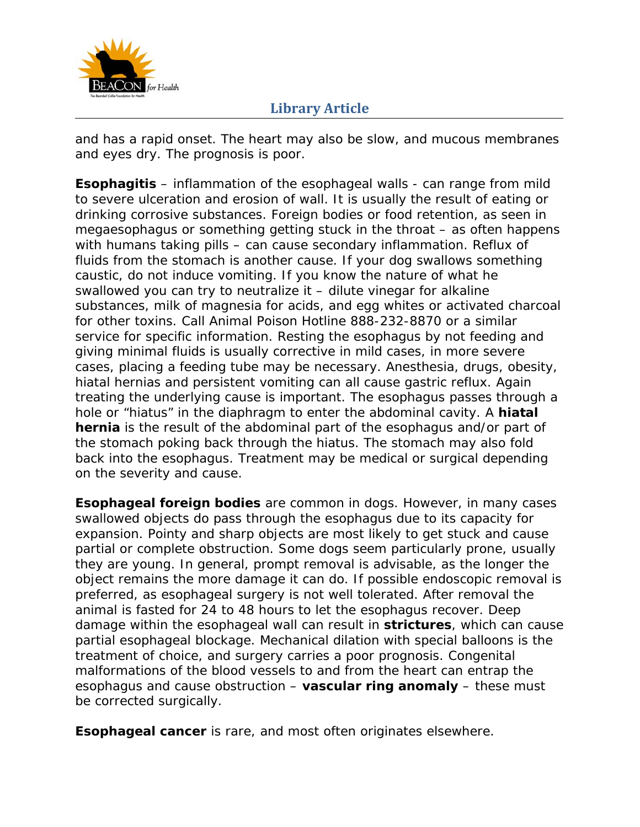

and has a rapid onset. The heart may also be slow, and mucous membranes and eyes dry. The prognosis is poor.

**Esophagitis** – inflammation of the esophageal walls - can range from mild to severe ulceration and erosion of wall. It is usually the result of eating or drinking corrosive substances. Foreign bodies or food retention, as seen in megaesophagus or something getting stuck in the throat – as often happens with humans taking pills – can cause secondary inflammation. Reflux of fluids from the stomach is another cause. If your dog swallows something caustic, do not induce vomiting. If you know the nature of what he swallowed you can try to neutralize it – dilute vinegar for alkaline substances, milk of magnesia for acids, and egg whites or activated charcoal for other toxins. Call Animal Poison Hotline 888-232-8870 or a similar service for specific information. Resting the esophagus by not feeding and giving minimal fluids is usually corrective in mild cases, in more severe cases, placing a feeding tube may be necessary. Anesthesia, drugs, obesity, hiatal hernias and persistent vomiting can all cause gastric reflux. Again treating the underlying cause is important. The esophagus passes through a hole or "hiatus" in the diaphragm to enter the abdominal cavity. A **hiatal hernia** is the result of the abdominal part of the esophagus and/or part of the stomach poking back through the hiatus. The stomach may also fold back into the esophagus. Treatment may be medical or surgical depending on the severity and cause.

**Esophageal foreign bodies** are common in dogs. However, in many cases swallowed objects do pass through the esophagus due to its capacity for expansion. Pointy and sharp objects are most likely to get stuck and cause partial or complete obstruction. Some dogs seem particularly prone, usually they are young. In general, prompt removal is advisable, as the longer the object remains the more damage it can do. If possible endoscopic removal is preferred, as esophageal surgery is not well tolerated. After removal the animal is fasted for 24 to 48 hours to let the esophagus recover. Deep damage within the esophageal wall can result in **strictures**, which can cause partial esophageal blockage. Mechanical dilation with special balloons is the treatment of choice, and surgery carries a poor prognosis. Congenital malformations of the blood vessels to and from the heart can entrap the esophagus and cause obstruction – **vascular ring anomaly** – these must be corrected surgically.

**Esophageal cancer** is rare, and most often originates elsewhere.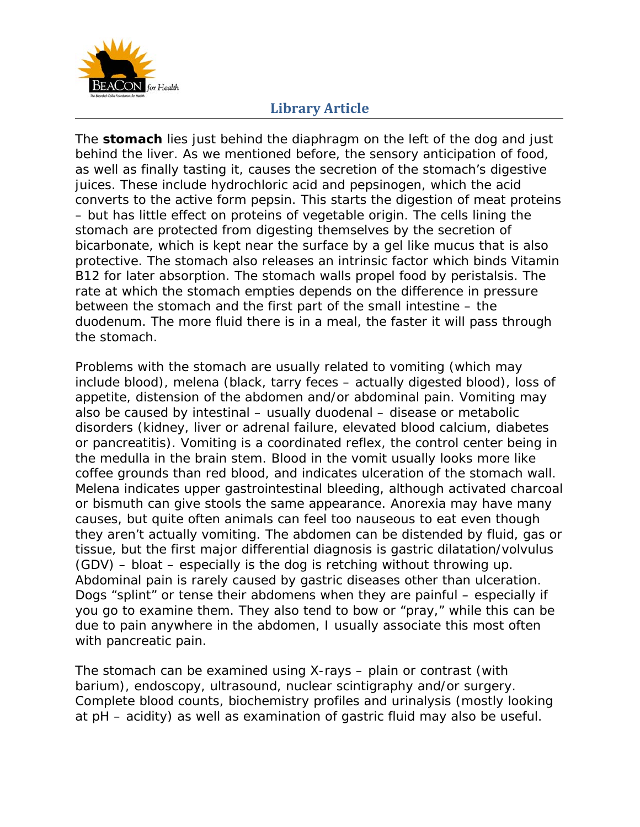

The **stomach** lies just behind the diaphragm on the left of the dog and just behind the liver. As we mentioned before, the sensory anticipation of food, as well as finally tasting it, causes the secretion of the stomach's digestive juices. These include hydrochloric acid and pepsinogen, which the acid converts to the active form pepsin. This starts the digestion of meat proteins – but has little effect on proteins of vegetable origin. The cells lining the stomach are protected from digesting themselves by the secretion of bicarbonate, which is kept near the surface by a gel like mucus that is also protective. The stomach also releases an intrinsic factor which binds Vitamin B12 for later absorption. The stomach walls propel food by peristalsis. The rate at which the stomach empties depends on the difference in pressure between the stomach and the first part of the small intestine – the duodenum. The more fluid there is in a meal, the faster it will pass through the stomach.

Problems with the stomach are usually related to vomiting (which may include blood), melena (black, tarry feces – actually digested blood), loss of appetite, distension of the abdomen and/or abdominal pain. Vomiting may also be caused by intestinal – usually duodenal – disease or metabolic disorders (kidney, liver or adrenal failure, elevated blood calcium, diabetes or pancreatitis). Vomiting is a coordinated reflex, the control center being in the medulla in the brain stem. Blood in the vomit usually looks more like coffee grounds than red blood, and indicates ulceration of the stomach wall. Melena indicates upper gastrointestinal bleeding, although activated charcoal or bismuth can give stools the same appearance. Anorexia may have many causes, but quite often animals can feel too nauseous to eat even though they aren't actually vomiting. The abdomen can be distended by fluid, gas or tissue, but the first major differential diagnosis is gastric dilatation/volvulus (GDV) – bloat – especially is the dog is retching without throwing up. Abdominal pain is rarely caused by gastric diseases other than ulceration. Dogs "splint" or tense their abdomens when they are painful – especially if you go to examine them. They also tend to bow or "pray," while this can be due to pain anywhere in the abdomen, I usually associate this most often with pancreatic pain.

The stomach can be examined using X-rays – plain or contrast (with barium), endoscopy, ultrasound, nuclear scintigraphy and/or surgery. Complete blood counts, biochemistry profiles and urinalysis (mostly looking at pH – acidity) as well as examination of gastric fluid may also be useful.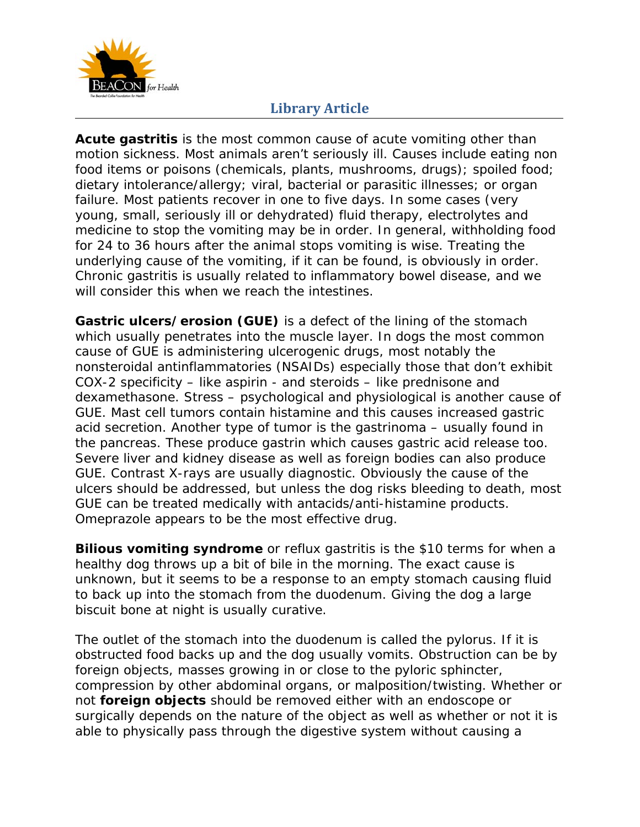

**Acute gastritis** is the most common cause of acute vomiting other than motion sickness. Most animals aren't seriously ill. Causes include eating non food items or poisons (chemicals, plants, mushrooms, drugs); spoiled food; dietary intolerance/allergy; viral, bacterial or parasitic illnesses; or organ failure. Most patients recover in one to five days. In some cases (very young, small, seriously ill or dehydrated) fluid therapy, electrolytes and medicine to stop the vomiting may be in order. In general, withholding food for 24 to 36 hours after the animal stops vomiting is wise. Treating the underlying cause of the vomiting, if it can be found, is obviously in order. Chronic gastritis is usually related to inflammatory bowel disease, and we will consider this when we reach the intestines.

**Gastric ulcers/erosion (GUE)** is a defect of the lining of the stomach which usually penetrates into the muscle layer. In dogs the most common cause of GUE is administering ulcerogenic drugs, most notably the nonsteroidal antinflammatories (NSAIDs) especially those that don't exhibit COX-2 specificity – like aspirin - and steroids – like prednisone and dexamethasone. Stress – psychological and physiological is another cause of GUE. Mast cell tumors contain histamine and this causes increased gastric acid secretion. Another type of tumor is the gastrinoma – usually found in the pancreas. These produce gastrin which causes gastric acid release too. Severe liver and kidney disease as well as foreign bodies can also produce GUE. Contrast X-rays are usually diagnostic. Obviously the cause of the ulcers should be addressed, but unless the dog risks bleeding to death, most GUE can be treated medically with antacids/anti-histamine products. Omeprazole appears to be the most effective drug.

**Bilious vomiting syndrome** or reflux gastritis is the \$10 terms for when a healthy dog throws up a bit of bile in the morning. The exact cause is unknown, but it seems to be a response to an empty stomach causing fluid to back up into the stomach from the duodenum. Giving the dog a large biscuit bone at night is usually curative.

The outlet of the stomach into the duodenum is called the pylorus. If it is obstructed food backs up and the dog usually vomits. Obstruction can be by foreign objects, masses growing in or close to the pyloric sphincter, compression by other abdominal organs, or malposition/twisting. Whether or not **foreign objects** should be removed either with an endoscope or surgically depends on the nature of the object as well as whether or not it is able to physically pass through the digestive system without causing a